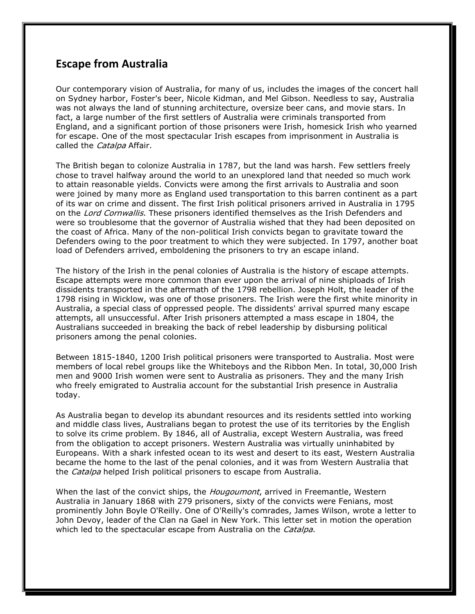## **Escape from Australia**

Our contemporary vision of Australia, for many of us, includes the images of the concert hall on Sydney harbor, Foster's beer, Nicole Kidman, and Mel Gibson. Needless to say, Australia was not always the land of stunning architecture, oversize beer cans, and movie stars. In fact, a large number of the first settlers of Australia were criminals transported from England, and a significant portion of those prisoners were Irish, homesick Irish who yearned for escape. One of the most spectacular Irish escapes from imprisonment in Australia is called the *Catalpa* Affair.

The British began to colonize Australia in 1787, but the land was harsh. Few settlers freely chose to travel halfway around the world to an unexplored land that needed so much work to attain reasonable yields. Convicts were among the first arrivals to Australia and soon were joined by many more as England used transportation to this barren continent as a part of its war on crime and dissent. The first Irish political prisoners arrived in Australia in 1795 on the Lord Cornwallis. These prisoners identified themselves as the Irish Defenders and were so troublesome that the governor of Australia wished that they had been deposited on the coast of Africa. Many of the non-political Irish convicts began to gravitate toward the Defenders owing to the poor treatment to which they were subjected. In 1797, another boat load of Defenders arrived, emboldening the prisoners to try an escape inland.

The history of the Irish in the penal colonies of Australia is the history of escape attempts. Escape attempts were more common than ever upon the arrival of nine shiploads of Irish dissidents transported in the aftermath of the 1798 rebellion. Joseph Holt, the leader of the 1798 rising in Wicklow, was one of those prisoners. The Irish were the first white minority in Australia, a special class of oppressed people. The dissidents' arrival spurred many escape attempts, all unsuccessful. After Irish prisoners attempted a mass escape in 1804, the Australians succeeded in breaking the back of rebel leadership by disbursing political prisoners among the penal colonies.

Between 1815-1840, 1200 Irish political prisoners were transported to Australia. Most were members of local rebel groups like the Whiteboys and the Ribbon Men. In total, 30,000 Irish men and 9000 Irish women were sent to Australia as prisoners. They and the many Irish who freely emigrated to Australia account for the substantial Irish presence in Australia today.

As Australia began to develop its abundant resources and its residents settled into working and middle class lives, Australians began to protest the use of its territories by the English to solve its crime problem. By 1846, all of Australia, except Western Australia, was freed from the obligation to accept prisoners. Western Australia was virtually uninhabited by Europeans. With a shark infested ocean to its west and desert to its east, Western Australia became the home to the last of the penal colonies, and it was from Western Australia that the Catalpa helped Irish political prisoners to escape from Australia.

When the last of the convict ships, the *Hougoumont*, arrived in Freemantle, Western Australia in January 1868 with 279 prisoners, sixty of the convicts were Fenians, most prominently John Boyle O'Reilly. One of O'Reilly's comrades, James Wilson, wrote a letter to John Devoy, leader of the Clan na Gael in New York. This letter set in motion the operation which led to the spectacular escape from Australia on the *Catalpa*.